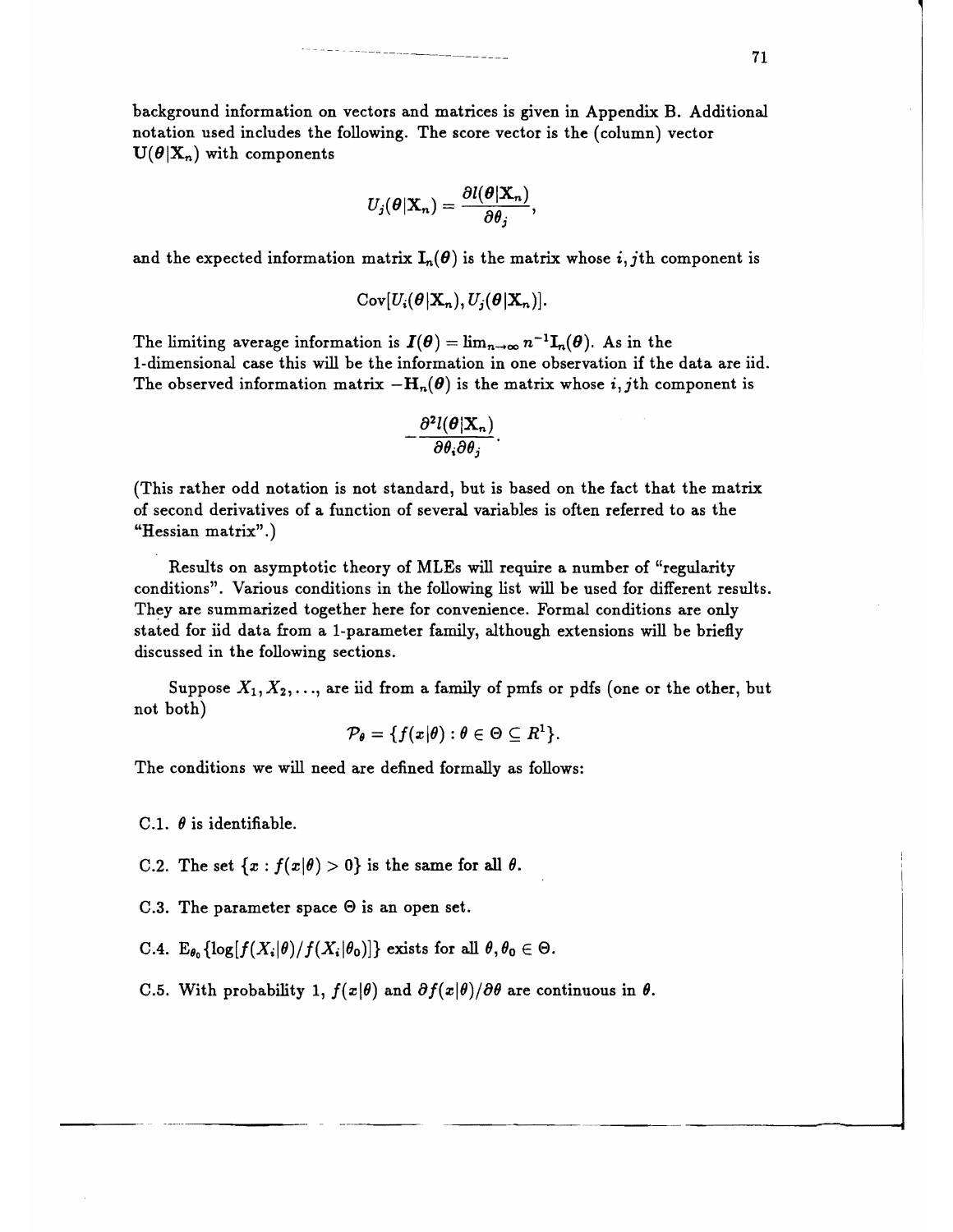background information on vectors and matrices is given in Appendix B. Additional notation used includes the following. The score vector is the (column) vector  $U(\theta|X_n)$  with components

$$
U_j(\boldsymbol{\theta}|\mathbf{X}_n)=\frac{\partial l(\boldsymbol{\theta}|\mathbf{X}_n)}{\partial \theta_j},
$$

and the expected information matrix  $I_n(\theta)$  is the matrix whose i, jth component is

 $Cov[U_i(\boldsymbol{\theta}| \mathbf{X}_n), U_i(\boldsymbol{\theta}| \mathbf{X}_n)].$ 

The limiting average information is  $I(\theta) = \lim_{n \to \infty} n^{-1}I_n(\theta)$ . As in the I-dimensional case this will be the information in one observation if the data are iid. The observed information matrix  $-H_n(\theta)$  is the matrix whose i, jth component is

$$
-\frac{\partial^2 l(\boldsymbol\theta| {\bf X}_n)}{\partial \theta_i \partial \theta_j}.
$$

(This rather odd notation is not standard, but is based on the fact that the matrix of second derivatives of a function of several variables is often referred to as the "Hessian matrix".)

Results on asymptotic theory of MLEs will require a number of "regularity conditions". Various conditions in the following list will be used for different results. They are summarized together here for convenience. Formal conditions are only stated for iid data from a I-parameter family, although extensions will be briefly discussed in the following sections.

Suppose  $X_1, X_2, \ldots$ , are iid from a family of pmfs or pdfs (one or the other, but not both)

$$
\mathcal{P}_{\theta} = \{f(x|\theta) : \theta \in \Theta \subseteq R^1\}.
$$

The conditions we will need are defined formally as follows:

C.1.  $\theta$  is identifiable.

C.2. The set  $\{x : f(x|\theta) > 0\}$  is the same for all  $\theta$ .

C.3. The parameter space  $\Theta$  is an open set.

*C.*4.  $E_{\theta_0} \{ \log[f(X_i|\theta)/f(X_i|\theta_0)] \}$  exists for all  $\theta, \theta_0 \in \Theta$ .

C.5. With probability 1,  $f(x|\theta)$  and  $\partial f(x|\theta)/\partial \theta$  are continuous in  $\theta$ .